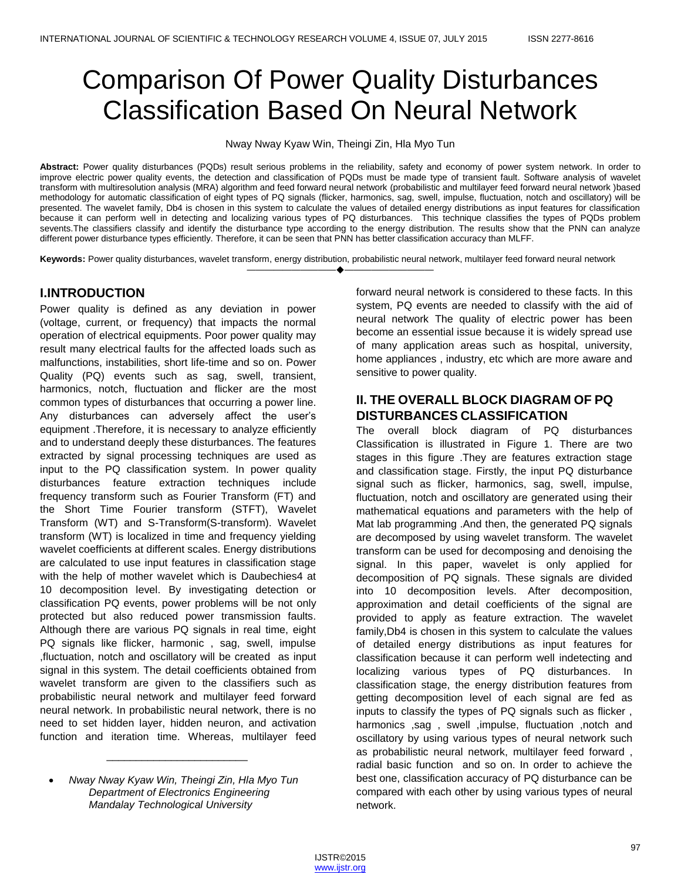# Comparison Of Power Quality Disturbances Classification Based On Neural Network

Nway Nway Kyaw Win, Theingi Zin, Hla Myo Tun

**Abstract:** Power quality disturbances (PQDs) result serious problems in the reliability, safety and economy of power system network. In order to improve electric power quality events, the detection and classification of PQDs must be made type of transient fault. Software analysis of wavelet transform with multiresolution analysis (MRA) algorithm and feed forward neural network (probabilistic and multilayer feed forward neural network )based methodology for automatic classification of eight types of PQ signals (flicker, harmonics, sag, swell, impulse, fluctuation, notch and oscillatory) will be presented. The wavelet family, Db4 is chosen in this system to calculate the values of detailed energy distributions as input features for classification because it can perform well in detecting and localizing various types of PQ disturbances. This technique classifies the types of PQDs problem sevents. The classifiers classify and identify the disturbance type according to the energy distribution. The results show that the PNN can analyze different power disturbance types efficiently. Therefore, it can be seen that PNN has better classification accuracy than MLFF.

**Keywords:** Power quality disturbances, wavelet transform, energy distribution, probabilistic neural network, multilayer feed forward neural network

————————————————————

# **I.INTRODUCTION**

Power quality is defined as any deviation in power (voltage, current, or frequency) that impacts the normal operation of electrical equipments. Poor power quality may result many electrical faults for the affected loads such as malfunctions, instabilities, short life-time and so on. Power Quality (PQ) events such as sag, swell, transient, harmonics, notch, fluctuation and flicker are the most common types of disturbances that occurring a power line. Any disturbances can adversely affect the user's equipment .Therefore, it is necessary to analyze efficiently and to understand deeply these disturbances. The features extracted by signal processing techniques are used as input to the PQ classification system. In power quality disturbances feature extraction techniques include frequency transform such as Fourier Transform (FT) and the Short Time Fourier transform (STFT), Wavelet Transform (WT) and S-Transform(S-transform). Wavelet transform (WT) is localized in time and frequency yielding wavelet coefficients at different scales. Energy distributions are calculated to use input features in classification stage with the help of mother wavelet which is Daubechies4 at 10 decomposition level. By investigating detection or classification PQ events, power problems will be not only protected but also reduced power transmission faults. Although there are various PQ signals in real time, eight PQ signals like flicker, harmonic , sag, swell, impulse ,fluctuation, notch and oscillatory will be created as input signal in this system. The detail coefficients obtained from wavelet transform are given to the classifiers such as probabilistic neural network and multilayer feed forward neural network. In probabilistic neural network, there is no need to set hidden layer, hidden neuron, and activation function and iteration time. Whereas, multilayer feed

\_\_\_\_\_\_\_\_\_\_\_\_\_\_\_\_\_\_\_\_\_\_\_\_

forward neural network is considered to these facts. In this system, PQ events are needed to classify with the aid of neural network The quality of electric power has been become an essential issue because it is widely spread use of many application areas such as hospital, university, home appliances , industry, etc which are more aware and sensitive to power quality.

# **II. THE OVERALL BLOCK DIAGRAM OF PQ DISTURBANCES CLASSIFICATION**

The overall block diagram of PQ disturbances Classification is illustrated in Figure 1. There are two stages in this figure .They are features extraction stage and classification stage. Firstly, the input PQ disturbance signal such as flicker, harmonics, sag, swell, impulse, fluctuation, notch and oscillatory are generated using their mathematical equations and parameters with the help of Mat lab programming .And then, the generated PQ signals are decomposed by using wavelet transform. The wavelet transform can be used for decomposing and denoising the signal. In this paper, wavelet is only applied for decomposition of PQ signals. These signals are divided into 10 decomposition levels. After decomposition, approximation and detail coefficients of the signal are provided to apply as feature extraction. The wavelet family,Db4 is chosen in this system to calculate the values of detailed energy distributions as input features for classification because it can perform well indetecting and localizing various types of PQ disturbances. In classification stage, the energy distribution features from getting decomposition level of each signal are fed as inputs to classify the types of PQ signals such as flicker , harmonics ,sag , swell ,impulse, fluctuation ,notch and oscillatory by using various types of neural network such as probabilistic neural network, multilayer feed forward , radial basic function and so on. In order to achieve the best one, classification accuracy of PQ disturbance can be compared with each other by using various types of neural network.

*Nway Nway Kyaw Win, Theingi Zin, Hla Myo Tun Department of Electronics Engineering Mandalay Technological University*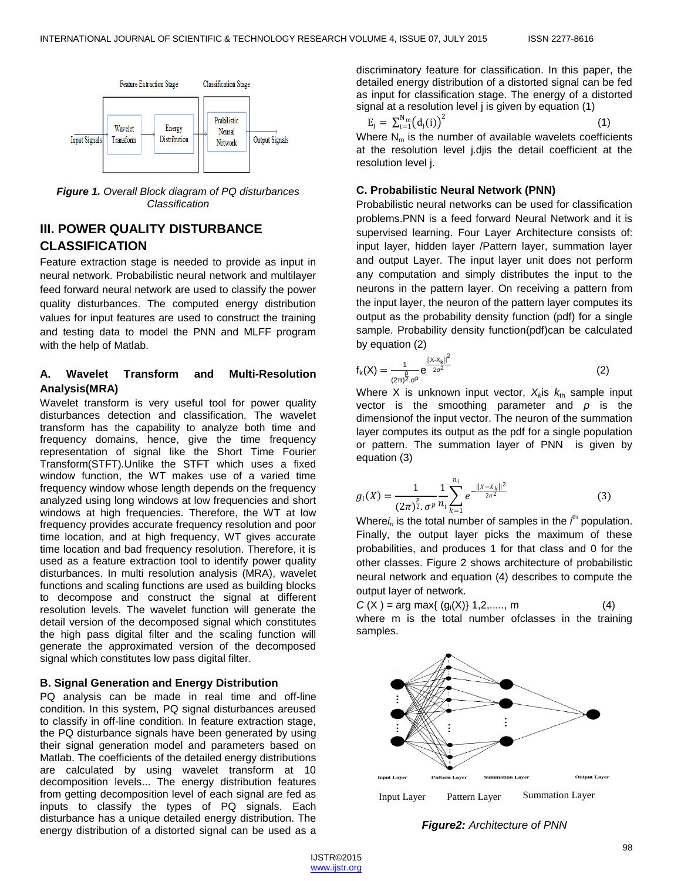

*Figure 1. Overall Block diagram of PQ disturbances Classification*

# **III. POWER QUALITY DISTURBANCE CLASSIFICATION**

Feature extraction stage is needed to provide as input in neural network. Probabilistic neural network and multilayer feed forward neural network are used to classify the power quality disturbances. The computed energy distribution values for input features are used to construct the training and testing data to model the PNN and MLFF program with the help of Matlab.

## **A. Wavelet Transform and Multi-Resolution Analysis(MRA)**

Wavelet transform is very useful tool for power quality disturbances detection and classification. The wavelet transform has the capability to analyze both time and frequency domains, hence, give the time frequency representation of signal like the Short Time Fourier Transform(STFT).Unlike the STFT which uses a fixed window function, the WT makes use of a varied time frequency window whose length depends on the frequency analyzed using long windows at low frequencies and short windows at high frequencies. Therefore, the WT at low frequency provides accurate frequency resolution and poor time location, and at high frequency, WT gives accurate time location and bad frequency resolution. Therefore, it is used as a feature extraction tool to identify power quality disturbances. In multi resolution analysis (MRA), wavelet functions and scaling functions are used as building blocks to decompose and construct the signal at different resolution levels. The wavelet function will generate the detail version of the decomposed signal which constitutes the high pass digital filter and the scaling function will generate the approximated version of the decomposed signal which constitutes low pass digital filter.

## **B. Signal Generation and Energy Distribution**

PQ analysis can be made in real time and off-line condition. In this system, PQ signal disturbances areused to classify in off-line condition. In feature extraction stage, the PQ disturbance signals have been generated by using their signal generation model and parameters based on Matlab. The coefficients of the detailed energy distributions are calculated by using wavelet transform at 10 decomposition levels... The energy distribution features from getting decomposition level of each signal are fed as inputs to classify the types of PQ signals. Each disturbance has a unique detailed energy distribution. The energy distribution of a distorted signal can be used as a discriminatory feature for classification. In this paper, the detailed energy distribution of a distorted signal can be fed as input for classification stage. The energy of a distorted signal at a resolution level *j* is given by equation (1)

$$
E_j = \sum_{i=1}^{N_m} (d_j(i))^2
$$
 (1)

Where  $N<sub>m</sub>$  is the number of available wavelets coefficients at the resolution level j.djis the detail coefficient at the resolution level j.

#### **C. Probabilistic Neural Network (PNN)**

Probabilistic neural networks can be used for classification problems.PNN is a feed forward Neural Network and it is supervised learning. Four Layer Architecture consists of: input layer, hidden layer /Pattern layer, summation layer and output Layer. The input layer unit does not perform any computation and simply distributes the input to the neurons in the pattern layer. On receiving a pattern from the input layer, the neuron of the pattern layer computes its output as the probability density function (pdf) for a single sample. Probability density function(pdf)can be calculated by equation (2)

$$
f_{k}(X) = \frac{1}{(2\pi)^{\frac{p}{2}} \sigma^{p}} e^{\frac{||X \cdot X_{k}||^{2}}{2\sigma^{2}}}
$$
(2)

Where X is unknown input vector,  $X_{k}$ is  $k_{th}$  sample input vector is the smoothing parameter and *p* is the dimensionof the input vector. The neuron of the summation layer computes its output as the pdf for a single population or pattern. The summation layer of PNN is given by equation (3)

$$
g_i(X) = \frac{1}{(2\pi)^{\frac{p}{2}} \sigma^p} \frac{1}{n_i} \sum_{k=1}^{n_i} e^{-\frac{||X - X_k||^2}{2\sigma^2}}
$$
(3)

Where*i<sub>n</sub>* is the total number of samples in the *i*<sup>th</sup> population. Finally, the output layer picks the maximum of these probabilities, and produces 1 for that class and 0 for the other classes. Figure 2 shows architecture of probabilistic neural network and equation (4) describes to compute the output layer of network.

$$
C(X) = \arg \max\{ (g_i(X)) \mid 1, 2, \dots, m \tag{4}
$$

where m is the total number ofclasses in the training samples.



*Figure2: Architecture of PNN*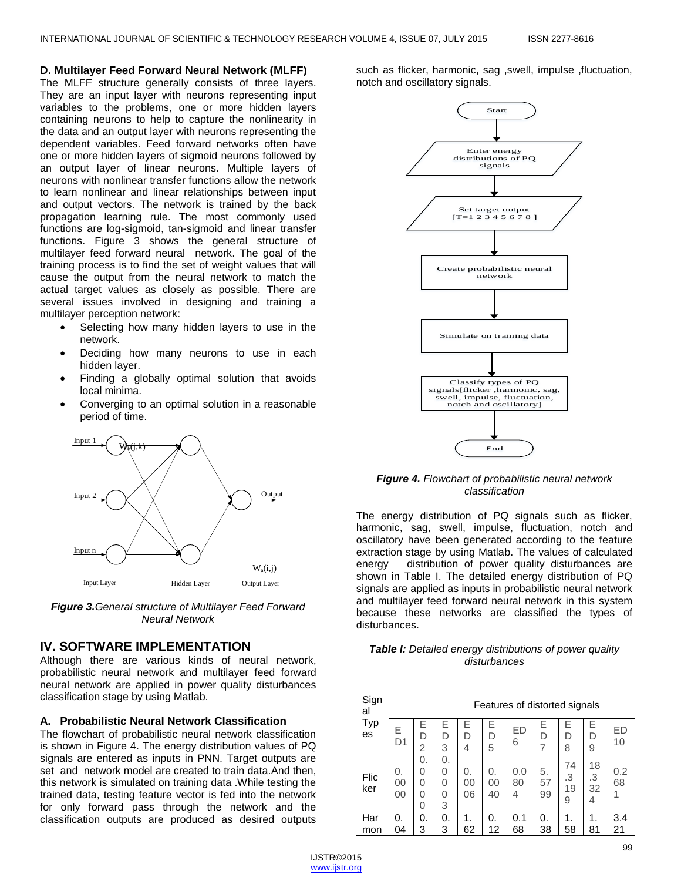#### **D. Multilayer Feed Forward Neural Network (MLFF)**

The MLFF structure generally consists of three layers. They are an input layer with neurons representing input variables to the problems, one or more hidden layers containing neurons to help to capture the nonlinearity in the data and an output layer with neurons representing the dependent variables. Feed forward networks often have one or more hidden layers of sigmoid neurons followed by an output layer of linear neurons. Multiple layers of neurons with nonlinear transfer functions allow the network to learn nonlinear and linear relationships between input and output vectors. The network is trained by the back propagation learning rule. The most commonly used functions are log-sigmoid, tan-sigmoid and linear transfer functions. Figure 3 shows the general structure of multilayer feed forward neural network. The goal of the training process is to find the set of weight values that will cause the output from the neural network to match the actual target values as closely as possible. There are several issues involved in designing and training a multilayer perception network:

- Selecting how many hidden layers to use in the network.
- Deciding how many neurons to use in each hidden layer.
- Finding a globally optimal solution that avoids local minima.
- Converging to an optimal solution in a reasonable period of time.



*Figure 3.General structure of Multilayer Feed Forward Neural Network*

## **IV. SOFTWARE IMPLEMENTATION**

Although there are various kinds of neural network, probabilistic neural network and multilayer feed forward neural network are applied in power quality disturbances classification stage by using Matlab.

#### **A. Probabilistic Neural Network Classification**

The flowchart of probabilistic neural network classification is shown in Figure 4. The energy distribution values of PQ signals are entered as inputs in PNN. Target outputs are set and network model are created to train data.And then, this network is simulated on training data .While testing the trained data, testing feature vector is fed into the network for only forward pass through the network and the classification outputs are produced as desired outputs such as flicker, harmonic, sag ,swell, impulse ,fluctuation, notch and oscillatory signals.



*Figure 4. Flowchart of probabilistic neural network classification*

The energy distribution of PQ signals such as flicker, harmonic, sag, swell, impulse, fluctuation, notch and oscillatory have been generated according to the feature extraction stage by using Matlab. The values of calculated energy distribution of power quality disturbances are shown in Table I. The detailed energy distribution of PQ signals are applied as inputs in probabilistic neural network and multilayer feed forward neural network in this system because these networks are classified the types of disturbances.

| <b>Table I:</b> Detailed energy distributions of power quality |
|----------------------------------------------------------------|
| disturbances                                                   |

| Sign<br>al<br>Typ<br>es | Features of distorted signals |                        |                        |                |                |                |                |                     |                     |                |
|-------------------------|-------------------------------|------------------------|------------------------|----------------|----------------|----------------|----------------|---------------------|---------------------|----------------|
|                         | Ε<br>D <sub>1</sub>           | Е<br>D<br>2            | Е<br>D<br>3            | Ε<br>D<br>4    | Ε<br>D<br>5    | ED<br>6        | Е<br>D<br>7    | Е<br>D<br>8         | E.<br>D<br>9        | ED<br>10       |
| Flic<br>ker             | 0.<br>00<br>00                | 0.<br>0<br>0<br>0<br>0 | 0.<br>0<br>0<br>0<br>3 | 0.<br>00<br>06 | 0.<br>00<br>40 | 0.0<br>80<br>4 | 5.<br>57<br>99 | 74<br>.3<br>19<br>9 | 18<br>.3<br>32<br>4 | 0.2<br>68<br>1 |
| Har<br>mon              | 0.<br>04                      | 0.<br>3                | 0.<br>3                | 1.<br>62       | 0.<br>12       | 0.1<br>68      | 0.<br>38       | 1.<br>58            | 1.<br>81            | 3.4<br>21      |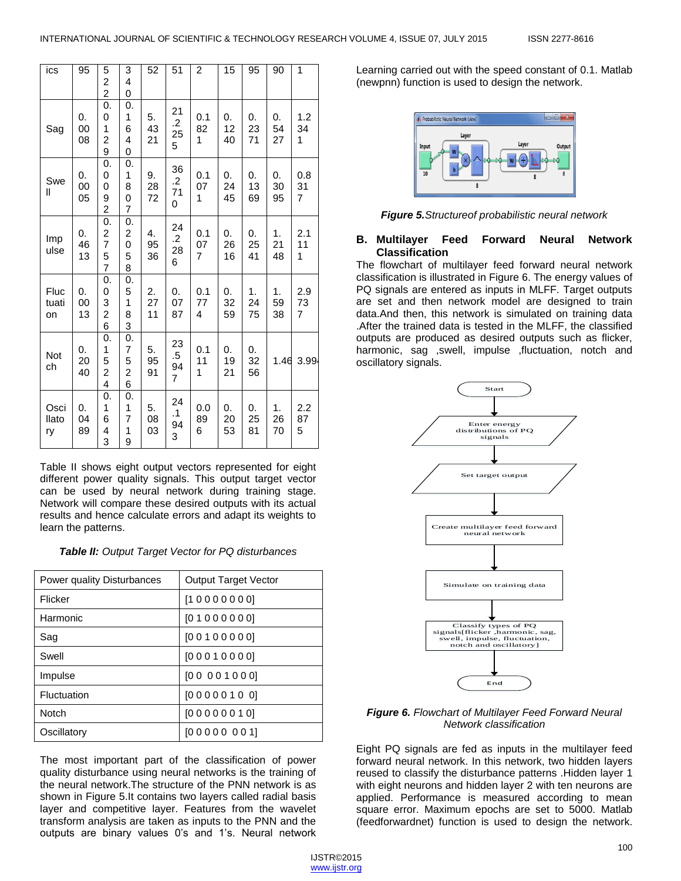| ics                 | 95             | 5<br>$\overline{\mathbf{c}}$<br>$\overline{c}$ | 3<br>4<br>0                                                | 52             | 51                              | 2              | 15             | 95             | 90             | 1                           |
|---------------------|----------------|------------------------------------------------|------------------------------------------------------------|----------------|---------------------------------|----------------|----------------|----------------|----------------|-----------------------------|
| Sag                 | 0.<br>00<br>08 | 0.<br>0<br>1<br>$\overline{\mathbf{c}}$<br>9   | 0.<br>$\mathbf{1}$<br>6<br>4<br>0                          | 5.<br>43<br>21 | 21<br>$\cdot$<br>25<br>5        | 0.1<br>82<br>1 | 0.<br>12<br>40 | 0.<br>23<br>71 | 0.<br>54<br>27 | 1.2<br>34<br>1              |
| Swe<br>$\sf II$     | 0.<br>00<br>05 | $\overline{0}$ .<br>0<br>0<br>$\frac{9}{2}$    | 0.<br>1<br>8<br>0<br>$\overline{7}$                        | 9.<br>28<br>72 | 36<br>$\cdot$<br>71<br>0        | 0.1<br>07<br>1 | 0.<br>24<br>45 | 0.<br>13<br>69 | 0.<br>30<br>95 | 0.8<br>31<br>$\overline{7}$ |
| Imp<br>ulse         | 0.<br>46<br>13 | 0.<br>$\frac{2}{7}$<br>5<br>7                  | $\overline{0}$ .<br>$\overline{\mathbf{c}}$<br>0<br>5<br>8 | 4.<br>95<br>36 | 24<br>$\overline{2}$<br>28<br>6 | 0.1<br>07<br>7 | 0.<br>26<br>16 | 0.<br>25<br>41 | 1.<br>21<br>48 | 2.1<br>11<br>1              |
| Fluc<br>tuati<br>on | 0.<br>00<br>13 | 0.<br>0<br>3<br>$\frac{2}{6}$                  | $\overline{0}$ .<br>5<br>1<br>8<br>3                       | 2.<br>27<br>11 | 0.<br>07<br>87                  | 0.1<br>77<br>4 | 0.<br>32<br>59 | 1.<br>24<br>75 | 1.<br>59<br>38 | 2.9<br>73<br>7              |
| Not<br>ch           | 0.<br>20<br>40 | 0.<br>1<br>5<br>$\frac{2}{4}$                  | 0.<br>7<br>5<br>$\frac{2}{6}$                              | 5.<br>95<br>91 | 23<br>$.5\,$<br>94<br>7         | 0.1<br>11<br>1 | 0.<br>19<br>21 | 0.<br>32<br>56 | 1.46           | 3.99 <sub>4</sub>           |
| Osci<br>llato<br>ry | 0.<br>04<br>89 | 0.<br>1<br>6<br>4<br>3                         | 0.<br>1<br>$\overline{7}$<br>1<br>9                        | 5.<br>08<br>03 | 24<br>$\cdot$ 1<br>94<br>3      | 0.0<br>89<br>6 | 0.<br>20<br>53 | 0.<br>25<br>81 | 1.<br>26<br>70 | 2.2<br>87<br>5              |

Table II shows eight output vectors represented for eight different power quality signals. This output target vector can be used by neural network during training stage. Network will compare these desired outputs with its actual results and hence calculate errors and adapt its weights to learn the patterns.

*Table II: Output Target Vector for PQ disturbances*

| <b>Power quality Disturbances</b> | <b>Output Target Vector</b> |
|-----------------------------------|-----------------------------|
| Flicker                           | [10000000]                  |
| Harmonic                          | [01000000]                  |
| Sag                               | [00100000]                  |
| Swell                             | [00010000]                  |
| Impulse                           | [00001000]                  |
| Fluctuation                       | [00000100]                  |
| Notch                             | [00000010]                  |
| Oscillatory                       | [00000001]                  |

The most important part of the classification of power quality disturbance using neural networks is the training of the neural network.The structure of the PNN network is as shown in Figure 5.It contains two layers called radial basis layer and competitive layer. Features from the wavelet transform analysis are taken as inputs to the PNN and the outputs are binary values 0's and 1's. Neural network

Learning carried out with the speed constant of 0.1. Matlab (newpnn) function is used to design the network.



*Figure 5.Structureof probabilistic neural network*

## **B. Multilayer Feed Forward Neural Network Classification**

The flowchart of multilayer feed forward neural network classification is illustrated in Figure 6. The energy values of PQ signals are entered as inputs in MLFF. Target outputs are set and then network model are designed to train data.And then, this network is simulated on training data .After the trained data is tested in the MLFF, the classified outputs are produced as desired outputs such as flicker, harmonic, sag ,swell, impulse ,fluctuation, notch and oscillatory signals.



*Figure 6. Flowchart of Multilayer Feed Forward Neural Network classification*

Eight PQ signals are fed as inputs in the multilayer feed forward neural network. In this network, two hidden layers reused to classify the disturbance patterns .Hidden layer 1 with eight neurons and hidden layer 2 with ten neurons are applied. Performance is measured according to mean square error. Maximum epochs are set to 5000. Matlab (feedforwardnet) function is used to design the network.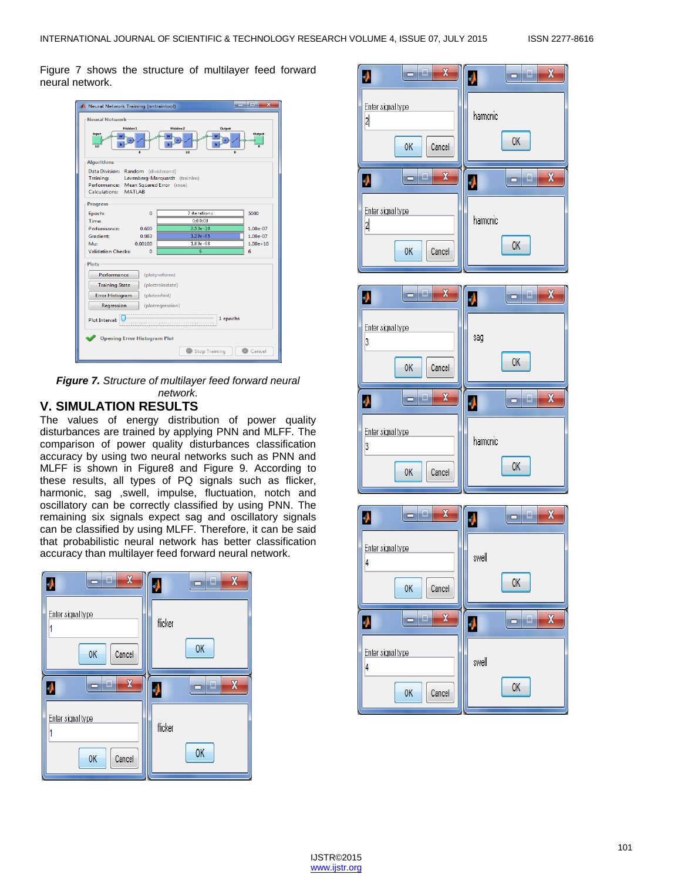Figure 7 shows the structure of multilayer feed forward neural network.

| $\overline{\mathbf{x}}$<br>a a<br>Neural Network Training (nntraintool)<br><b>Neural Network</b>                                                                                    |               |                         |              |  |  |  |  |
|-------------------------------------------------------------------------------------------------------------------------------------------------------------------------------------|---------------|-------------------------|--------------|--|--|--|--|
| Hidden <sub>1</sub><br>Hidden <sub>2</sub><br><b>Output</b><br>Input<br>Output<br>w<br>ь<br>$\overline{10}$<br>10<br>£.                                                             |               |                         |              |  |  |  |  |
| <b>Algorithms</b><br>Data Division: Random (dividerand)<br>Levenberg-Marquardt (trainlm)<br>Training:<br>Mean Squared Error (mse)<br>Performance:<br>Calculations:<br><b>MATLAB</b> |               |                         |              |  |  |  |  |
| <b>Progress</b><br>Epoch:<br>Time:                                                                                                                                                  | $\mathbf{0}$  | 7 iterations<br>0:00:00 | 5000         |  |  |  |  |
| Performance:                                                                                                                                                                        | 0.600         | $2.53e - 10$            | $1.00e-07$   |  |  |  |  |
| <b>Gradient:</b>                                                                                                                                                                    | 0.983         | $1.29e-05$              | $1.00e-07$   |  |  |  |  |
| Mur                                                                                                                                                                                 | 0.00100       | $1.00e - 08$            | $1.00e + 10$ |  |  |  |  |
| <b>Validation Checks:</b>                                                                                                                                                           | $\Omega$      | 6                       | 6            |  |  |  |  |
| <b>Plots</b>                                                                                                                                                                        |               |                         |              |  |  |  |  |
| Performance                                                                                                                                                                         |               | (plotperform)           |              |  |  |  |  |
| <b>Training State</b>                                                                                                                                                               |               | (plottrainstate)        |              |  |  |  |  |
| Error Histogram                                                                                                                                                                     | (ploterrhist) |                         |              |  |  |  |  |
| Regression                                                                                                                                                                          |               | (plotregression)        |              |  |  |  |  |
| 1 epochs<br>Plot Interval:<br>in a part part part part party and a strong and                                                                                                       |               |                         |              |  |  |  |  |
| <b>Opening Error Histogram Plot</b>                                                                                                                                                 |               |                         |              |  |  |  |  |
| Cancel<br><b>Stop Training</b>                                                                                                                                                      |               |                         |              |  |  |  |  |

*Figure 7. Structure of multilayer feed forward neural network.*

# **V. SIMULATION RESULTS**

The values of energy distribution of power quality disturbances are trained by applying PNN and MLFF. The comparison of power quality disturbances classification accuracy by using two neural networks such as PNN and MLFF is shown in Figure8 and Figure 9. According to these results, all types of PQ signals such as flicker, harmonic, sag ,swell, impulse, fluctuation, notch and oscillatory can be correctly classified by using PNN. The remaining six signals expect sag and oscillatory signals can be classified by using MLFF. Therefore, it can be said that probabilistic neural network has better classification accuracy than multilayer feed forward neural network.



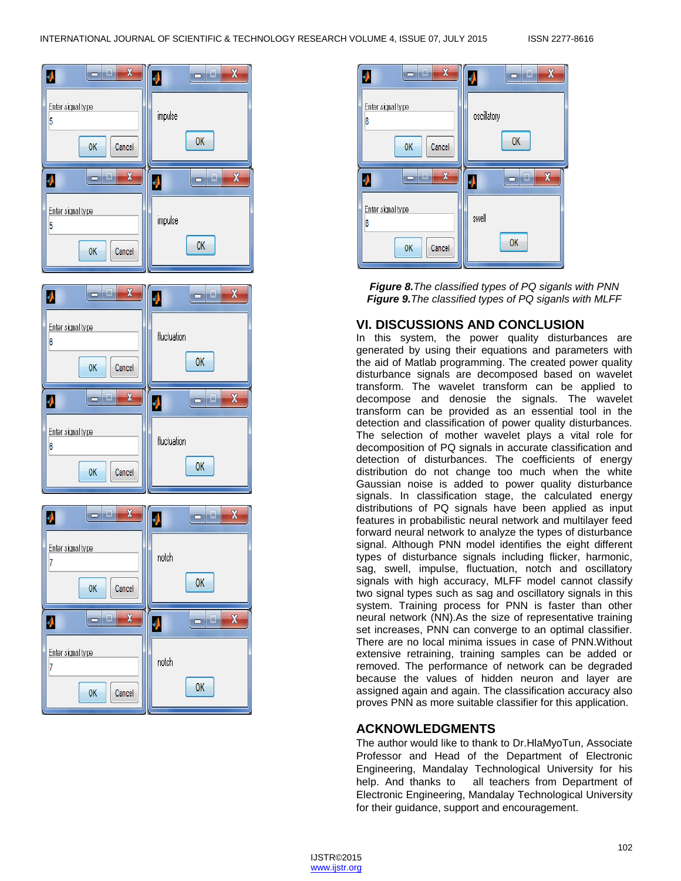



*Figure 8.The classified types of PQ siganls with PNN Figure 9.The classified types of PQ siganls with MLFF*

# **VI. DISCUSSIONS AND CONCLUSION**

In this system, the power quality disturbances are generated by using their equations and parameters with the aid of Matlab programming. The created power quality disturbance signals are decomposed based on wavelet transform. The wavelet transform can be applied to decompose and denosie the signals. The wavelet transform can be provided as an essential tool in the detection and classification of power quality disturbances. The selection of mother wavelet plays a vital role for decomposition of PQ signals in accurate classification and detection of disturbances. The coefficients of energy distribution do not change too much when the white Gaussian noise is added to power quality disturbance signals. In classification stage, the calculated energy distributions of PQ signals have been applied as input features in probabilistic neural network and multilayer feed forward neural network to analyze the types of disturbance signal. Although PNN model identifies the eight different types of disturbance signals including flicker, harmonic, sag, swell, impulse, fluctuation, notch and oscillatory signals with high accuracy, MLFF model cannot classify two signal types such as sag and oscillatory signals in this system. Training process for PNN is faster than other neural network (NN).As the size of representative training set increases, PNN can converge to an optimal classifier. There are no local minima issues in case of PNN.Without extensive retraining, training samples can be added or removed. The performance of network can be degraded because the values of hidden neuron and layer are assigned again and again. The classification accuracy also proves PNN as more suitable classifier for this application.

# **ACKNOWLEDGMENTS**

The author would like to thank to Dr.HlaMyoTun, Associate Professor and Head of the Department of Electronic Engineering, Mandalay Technological University for his help. And thanks to all teachers from Department of Electronic Engineering, Mandalay Technological University for their guidance, support and encouragement.